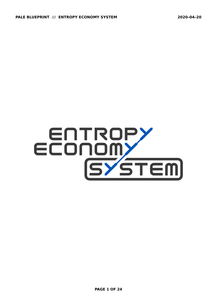# ECONOMY<br>ECONOMY<br>SYSTEM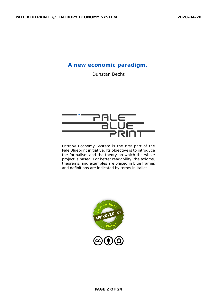# **A new economic paradigm.**

Dunstan Becht



Entropy Economy System is the first part of the Pale Blueprint initiative. Its objective is to introduce the formalism and the theory on which the whole project is based. For better readability, the axioms, theorems, and examples are placed in blue frames and definitions are indicated by terms in italics.

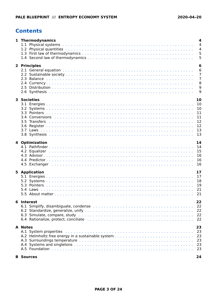# <span id="page-2-0"></span>**Contents**

| 1 Thermodynamics                                                                                               | 4<br>$\overline{4}$ |
|----------------------------------------------------------------------------------------------------------------|---------------------|
|                                                                                                                | $\overline{4}$      |
|                                                                                                                | 5                   |
|                                                                                                                | 5                   |
|                                                                                                                |                     |
| 2 Principles                                                                                                   | 6<br>6              |
|                                                                                                                | 7                   |
|                                                                                                                | $\overline{7}$      |
|                                                                                                                | 8                   |
|                                                                                                                | 9                   |
|                                                                                                                | 9                   |
| <b>3 Societies</b>                                                                                             | 10                  |
|                                                                                                                | 10                  |
| 3.2                                                                                                            | 10                  |
| 3.3                                                                                                            | 11                  |
|                                                                                                                | 11                  |
| <b>Transfers</b><br>3.5                                                                                        | 12                  |
| 3.6                                                                                                            | 12                  |
|                                                                                                                | 13                  |
|                                                                                                                | 13                  |
| 4 Optimization                                                                                                 | 14                  |
|                                                                                                                | 14                  |
|                                                                                                                | 15                  |
|                                                                                                                | 16                  |
| 4.4                                                                                                            | 16<br>16            |
| 4.5                                                                                                            |                     |
| <b>5 Application</b>                                                                                           | 17                  |
|                                                                                                                | 17                  |
|                                                                                                                | 18                  |
|                                                                                                                | 19                  |
| 5.4<br>Laws<br>5.5                                                                                             | 21<br>21            |
|                                                                                                                |                     |
| 6 Interest                                                                                                     | 22                  |
|                                                                                                                | 22                  |
|                                                                                                                | 22                  |
| 6.3 Simulate, compare, study entertainment contracts and such a state of the state of the state of the state o | 22                  |
| 6.4 Rationalize, protect, conciliate educational contracts and contact and contact the set of the set of the s | 22                  |
| <b>A</b> Notes                                                                                                 | 23                  |
|                                                                                                                | 23                  |
|                                                                                                                | 23                  |
|                                                                                                                | 23                  |
|                                                                                                                | 23<br>23            |
|                                                                                                                |                     |
| <b>B</b> Sources                                                                                               | 24                  |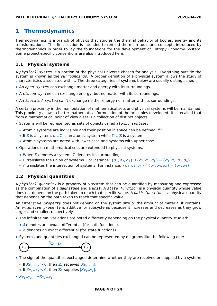# <span id="page-3-0"></span>**1 Thermodynamics**

Thermodynamics is a branch of physics that studies the thermal behavior of bodies, energy and its transformations. This first section is intended to remind the main tools and concepts introduced by thermodynamics in order to lay the foundations for the development of Entropy Economy System. Some project-specific conventions are also introduced here.

#### <span id="page-3-1"></span>**1.1 Physical systems**

A physical system is a portion of the physical universe chosen for analysis. Everything outside the system is known as the *surroundings*. A proper definition of a physical system allows the study of characteristics associated with it. The three categories of systems below are usually distinguished.

- **•** An open system can exchange matter and energy with its surroundings.
- **•** A closed system can exchange energy, but no matter with its surroundings.
- **•** An isolated system can't exchange neither energy nor matter with its surroundings.

A certain proximity in the manipulation of mathematical sets and physical systems will be maintained. This proximity allows a better mathematical formulation of the principles developed. It is recalled that from a mathematical point of view a set is a collection of distinct objects.

- **•** Systems will be represented as sets of objects called atomic systems.
	- **◦** Atomic systems are indivisible and their position in space can be defined. [A.1](#page-22-1)
	- **◦** If is a system, σ **∈** is an atomic system while **⊂** is a system.
	- **◦** Atomic systems are noted with lower case and systems with upper case.
- **•** Operations on mathematical sets are extended to physical systems.
	- **•** When  $\Sigma$  denotes a system,  $\Sigma$  denotes its surroundings.
	- **∘ ∪** translates the union of systems. For instance: { $σ_1$ ,  $σ_2$ ,  $σ_3$ }  $∪$  { $σ_2$ ,  $σ_3$ ,  $σ_4$ } = { $σ_1$ ,  $σ_2$ ,  $σ_3$ ,  $σ_4$ }.
	- **∘** ∩ translates the intersection of systems. For instance: {σ<sub>1</sub>, σ<sub>2</sub>, σ<sub>3</sub>} ∩ {σ<sub>2</sub>, σ<sub>3</sub>, σ<sub>4</sub>} = {σ<sub>2</sub>, σ<sub>3</sub>}.

### <span id="page-3-2"></span>**1.2 Physical quantities**

A physical quantity is a property of a system that can be quantified by measuring and expressed as the combination of a magnitude and a unit. A state function is a physical quantity whose value does not depend on the path taken to reach that specific value. A path function is a physical quantity that depends on the path taken to reach that specific value.

An *intensive property* does not depend on the system size or the amount of material it contains. An extensive property is additive for subsystems because it increases and decreases as they grow larger and smaller, respectively.

- **•** The infinitesimal variations are noted differently depending on the physical quantity studied:
	- **◦** δ denotes an inexact differential (for path functions).
	- **◦** d denotes an exact differential (for state functions).
- **•** Systems and quantities exchanged can be represented by diagrams like the following one:



- **•** The sign of the quantities exchanged determine whether they are received or supplied by a system:
	- **•** If  $X_{\Sigma_1 \to \Sigma_2} > 0$ , then  $\Sigma_2$  receives  $|X_{\Sigma_1 \to \Sigma_2}|$ .
	- $\bullet$  If  $X_{\Sigma_1 \to \Sigma_2} < 0$ , then  $\Sigma_2$  supplies  $|X_{\Sigma_1 \to \Sigma_2}|$ .
- $\bullet$   $X_{\Sigma_1 \to \Sigma_2} = -X_{\Sigma_2 \to \Sigma_1}$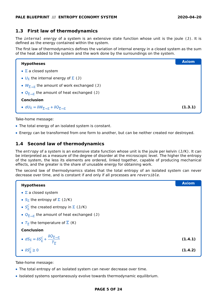#### <span id="page-4-0"></span>**1.3 First law of thermodynamics**

The *internal energy* of a system is an extensive state function whose unit is the joule (J). It is defined as the energy contained within the system.

The first law of thermodynamics defines the variation of internal energy in a closed system as the sum of the heat added to the system and the work done by the surroundings on the system.

| <b>Hypotheses</b>                                                                                                           | <b>Axiom</b> |
|-----------------------------------------------------------------------------------------------------------------------------|--------------|
| • $\Sigma$ a closed system                                                                                                  |              |
| • $U_{\Sigma}$ the internal energy of $\Sigma$ (J)                                                                          |              |
| • $W_{\overline{\Sigma}\to\Sigma}$ the amount of work exchanged (J)                                                         |              |
| • $Q_{\overline{\Sigma}\to\Sigma}$ the amount of heat exchanged (J)                                                         |              |
| <b>Conclusion</b>                                                                                                           |              |
| $\bullet$ $dU_{\Sigma} = \delta W_{\overline{\Sigma} \rightarrow \Sigma} + \delta Q_{\overline{\Sigma} \rightarrow \Sigma}$ | (1.3.1)      |

Take-home message:

- **•** The total energy of an isolated system is constant.
- **•** Energy can be transformed from one form to another, but can be neither created nor destroyed.

#### <span id="page-4-1"></span>**1.4 Second law of thermodynamics**

The entropy of a system is an extensive state function whose unit is the joule per kelvin  $(J/K)$ . It can be interpreted as a measure of the degree of disorder at the microscopic level. The higher the entropy of the system, the less its elements are ordered, linked together, capable of producing mechanical effects, and the greater is the share of unusable energy for obtaining work.

The second law of thermodynamics states that the total entropy of an isolated system can never decrease over time, and is constant if and only if all processes are reversible.

| <b>Hypotheses</b>                                                                                               | <b>Axiom</b> |
|-----------------------------------------------------------------------------------------------------------------|--------------|
| $\bullet$ $\Sigma$ a closed system                                                                              |              |
| • $S_{\Sigma}$ the entropy of $\Sigma$ (J/K)                                                                    |              |
| • $S_{\overline{y}}^C$ the created entropy in $\Sigma$ (J/K)                                                    |              |
| • $Q_{\overline{\Sigma}\to\Sigma}$ the amount of heat exchanged (J)                                             |              |
| • $T_{\overline{y}}$ the temperature of $\overline{\Sigma}$ (K)                                                 |              |
| <b>Conclusion</b>                                                                                               |              |
| • $dS_{\Sigma} = \delta S_{\Sigma}^{C} + \frac{\delta Q_{\overline{\Sigma} \to \Sigma}}{T_{\overline{\Sigma}}}$ | (1.4.1)      |
| • $\delta S_{\Sigma}^C \geq 0$                                                                                  | (1.4.2)      |

Take-home message:

- **•** The total entropy of an isolated system can never decrease over time.
- **•** Isolated systems spontaneously evolve towards thermodynamic equilibrium.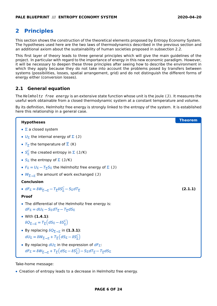# <span id="page-5-0"></span>**2 Principles**

This section shows the construction of the theoretical elements proposed by Entropy Economy System. The hypotheses used here are the two laws of thermodynamics described in the previous section and an additional axiom about the sustainability of human societies proposed in subsection [2.2.](#page-6-0)

This first layer of theory leads to three general principles which will give the main guidelines of the project. In particular with regard to the importance of energy in this new economic paradigm. However, it will be necessary to deepen these three principles after seeing how to describe the environment in which they apply because they do not take into account the problems posed by transfers between systems (possibilities, losses, spatial arrangement, grid) and do not distinguish the different forms of energy either (conversion losses).

### <span id="page-5-1"></span>**2.1 General equation**

The Helmholtz free energy is an extensive state function whose unit is the joule (J). It measures the useful work obtainable from a closed thermodynamic system at a constant temperature and volume.

By its definition, Helmholtz free energy is strongly linked to the entropy of the system. It is established here this relationship in a general case.

| <b>Hypotheses</b>                                                                                                                                                                                          | Theorem |
|------------------------------------------------------------------------------------------------------------------------------------------------------------------------------------------------------------|---------|
| $\bullet$ $\Sigma$ a closed system                                                                                                                                                                         |         |
| • $U_{\Sigma}$ the internal energy of $\Sigma$ (J)                                                                                                                                                         |         |
| • $T_{\overline{y}}$ the temperature of $\overline{\Sigma}$ (K)                                                                                                                                            |         |
| • $S_{\overline{y}}^C$ the created entropy in $\Sigma$ (J/K)                                                                                                                                               |         |
| • $S_{\Sigma}$ the entropy of $\Sigma$ (J/K)                                                                                                                                                               |         |
| • $F_{\Sigma} = U_{\Sigma} - T_{\overline{\Sigma}} S_{\Sigma}$ the Helmholtz free energy of $\Sigma$ (J)                                                                                                   |         |
| • $W_{\overline{\Sigma}\to\Sigma}$ the amount of work exchanged (J)                                                                                                                                        |         |
| <b>Conclusion</b>                                                                                                                                                                                          |         |
| • $dF_{\Sigma} = \delta W_{\overline{\Sigma} \to \Sigma} - T_{\overline{\Sigma}} \delta S_{\overline{\Sigma}}^C - S_{\Sigma} dT_{\overline{\Sigma}}$                                                       | (2.1.1) |
| <b>Proof</b>                                                                                                                                                                                               |         |
| • The differential of the Helmholtz free energy is:<br>$dF_{\Sigma} = dU_{\Sigma} - S_{\Sigma}dT_{\overline{\Sigma}} - T_{\overline{\Sigma}}dS_{\Sigma}$                                                   |         |
| • With $(1.4.1)$ :                                                                                                                                                                                         |         |
| $\delta Q_{\overline{y}\to y} = T_{\overline{y}} \left( dS_{\Sigma} - \delta S_{\overline{y}}^{\mathcal{C}} \right)$                                                                                       |         |
| • By replacing $\delta Q_{\overline{\Sigma}\to\Sigma}$ in (1.3.1):                                                                                                                                         |         |
| $dU_{\Sigma} = \delta W_{\overline{\Sigma} \to \overline{\Sigma}} + T_{\overline{\Sigma}} (dS_{\Sigma} - \delta S_{\overline{\Sigma}}^C)$                                                                  |         |
| • By replacing $dU_{\Sigma}$ in the expression of $dF_{\Sigma}$ :                                                                                                                                          |         |
| $dF_{\Sigma} = \delta W_{\overline{\Sigma} \to \Sigma} + T_{\overline{\Sigma}} \left( dS_{\Sigma} - \delta S_{\Sigma}^{C} \right) - S_{\Sigma} dT_{\overline{\Sigma}} - T_{\overline{\Sigma}} dS_{\Sigma}$ |         |

Take-home message:

**•** Creation of entropy leads to a decrease in Helmholtz free energy.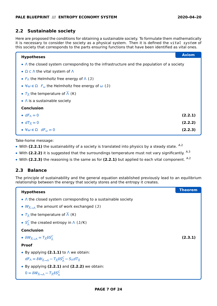#### <span id="page-6-0"></span>**2.2 Sustainable society**

Here are proposed the conditions for obtaining a sustainable society. To formulate them mathematically it is necessary to consider the society as a physical system. Then it is defined the vital system of this society that corresponds to the parts ensuring functions that have been identified as vital ones.

| <b>Hypotheses</b>                                                                                | <b>Axiom</b> |
|--------------------------------------------------------------------------------------------------|--------------|
| • $\wedge$ the closed system corresponding to the infrastructure and the population of a society |              |
| • $\Omega \subset \Lambda$ the vital system of $\Lambda$                                         |              |
| • $F_{\Lambda}$ the Helmholtz free energy of $\Lambda$ (J)                                       |              |
| • $\forall \omega \in \Omega$ $F_{\omega}$ the Helmholtz free energy of $\omega$ (J)             |              |
| • $T_{\overline{\Lambda}}$ the temperature of $\overline{\Lambda}$ (K)                           |              |
| $\bullet$ $\wedge$ is a sustainable society                                                      |              |
| <b>Conclusion</b>                                                                                |              |
| • $dF_{\Lambda} = 0$                                                                             | (2.2.1)      |
| • $dT_{\overline{\wedge}} = 0$                                                                   | (2.2.2)      |
| • $\forall \omega \in \Omega$ $dF_{\omega} = 0$                                                  | (2.2.3)      |

Take-home message:

- With [\(2.2.](#page-6-0)1) the sustainability of a society is translated into physics by a steady state. <sup>[A.2](#page-22-2)</sup>
- With [\(2.2.](#page-6-0)2) it is suggested that the surroundings temperature must not vary significantly. <sup>[A.3](#page-22-3)</sup>
- **•** With **[\(2.2.](#page-6-0)3)** the reasoning is the same as for **[\(2.2.](#page-6-0)1)** but applied to each vital component. [A.2](#page-22-2)

#### <span id="page-6-1"></span>**2.3 Balance**

The principle of sustainability and the general equation established previously lead to an equilibrium relationship between the energy that society stores and the entropy it creates.

| <b>Hypotheses</b>                                                                                                                              | <b>Theorem</b> |
|------------------------------------------------------------------------------------------------------------------------------------------------|----------------|
| $\bullet$ $\wedge$ the closed system corresponding to a sustainable society                                                                    |                |
| • $W_{\overline{\Lambda} \rightarrow \Lambda}$ the amount of work exchanged (J)                                                                |                |
| • $T_{\overline{\Lambda}}$ the temperature of $\overline{\Lambda}$ (K)                                                                         |                |
| • $S_{\scriptscriptstyle{A}}^C$ the created entropy in $\Lambda$ (J/K)                                                                         |                |
| <b>Conclusion</b>                                                                                                                              |                |
| • $\delta W_{\overline{\Lambda}\rightarrow\Lambda} = T_{\overline{\Lambda}} \delta S_{\Lambda}^C$                                              | (2.3.1)        |
| <b>Proof</b>                                                                                                                                   |                |
| • By applying $(2.1.1)$ to $\wedge$ we obtain:                                                                                                 |                |
| $dF_{\Lambda} = \delta W_{\overline{\Lambda} \to \Lambda} - T_{\overline{\Lambda}} \delta S_{\Lambda}^C - S_{\Lambda} dT_{\overline{\Lambda}}$ |                |
| $\bullet$ By applying (2.2.1) and (2.2.2) we obtain:                                                                                           |                |
| $0 = \delta W_{\overline{\Lambda} \rightarrow \Lambda} - T_{\overline{\Lambda}} \delta S_{\Lambda}^C$                                          |                |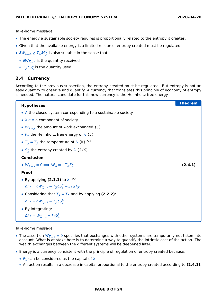**[\(2.4.](#page-7-0)1)**

Take-home message:

- **•** The energy a sustainable society requires is proportionally related to the entropy it creates.
- **•** Given that the available energy is a limited resource, entropy created must be regulated.
- $\delta W_{\overline{\Lambda}\to\Lambda}\geq T_{\overline{\Lambda}}\delta S_{\Lambda}^C$  is also suitable in the sense that:
	- **◦** δW<sub>⊼→Λ</sub> is the quantity received
	- $\circ$   $\mathcal{T}_{\overline{\wedge}} \delta S_{\wedge}^C$  is the quantity used

#### <span id="page-7-0"></span>**2.4 Currency**

According to the previous subsection, the entropy created must be regulated. But entropy is not an easy quantity to observe and quantify. A currency that translates this principle of economy of entropy is needed. The natural candidate for this new currency is the Helmholtz free energy.

**Theorem Hypotheses**

# **•** Λ the closed system corresponding to a sustainable society **•** λ **∈** Λ a component of society •  $W_{\overline{\lambda}\rightarrow\lambda}$  the amount of work exchanged (J) •  $F_{\lambda}$  the Helmholtz free energy of  $\lambda$  (J) •  $T_{\overline{\lambda}} = T_{\overline{\Lambda}}$  the temperature of  $\overline{\Lambda}$  (K) <sup>[A.3](#page-22-3)</sup> •  $S_1^C$  $\frac{C}{\lambda}$  the entropy created by  $\lambda$  (J/K) **Conclusion** •  $W_{\overline{\lambda}\rightarrow\lambda} = 0 \Longrightarrow \Delta F_{\lambda} = -T_{\overline{\lambda}} S_{\lambda}^C$ λ

#### **Proof**

- By applying [\(2.1.](#page-5-1)1) to  $\lambda$ : <sup>[A.4](#page-22-4)</sup>  $dF_{\lambda} = \delta W_{\overline{\lambda} \rightarrow \lambda} - T_{\overline{\lambda}} \delta S_{\lambda}^{C} - S_{\lambda} dT_{\overline{\lambda}}$
- Considering that  $T_{\overline{\lambda}} = T_{\overline{\Lambda}}$  and by applying [\(2.2.](#page-6-0)2):

 $dF_{\lambda} = \delta W_{\overline{\lambda} \to \lambda} - T_{\overline{\Lambda}} \delta S_{\lambda}^{C}$ 

**•** By integrating:

```
\Delta F_{\lambda} = W_{\overline{\lambda} \rightarrow \lambda} - T_{\overline{\Lambda}} S_{\lambda}^Cλ
```
Take-home message:

- The assertion  $W_{\overline{\lambda}\to\lambda} = 0$  specifies that exchanges with other systems are temporarily not taken into account. What is at stake here is to determine a way to quantify the intrinsic cost of the action. The wealth exchanges between the different systems will be deepened later.
- **•** Energy is a currency consistent with the principle of regulation of entropy created because:
	- **◦** F<sup>λ</sup> can be considered as the capital of λ.
	- **◦** An action results in a decrease in capital proportional to the entropy created according to **[\(2.4.](#page-7-0)1)**.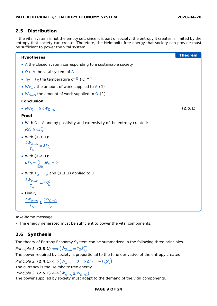#### <span id="page-8-0"></span>**2.5 Distribution**

If the vital system is not the empty set, since it is part of society, the entropy it creates is limited by the entropy that society can create. Therefore, the Helmholtz free energy that society can provide must be sufficient to power the vital system.

| <b>Hypotheses</b>                                                                                                                                                  | <b>Theorem</b> |
|--------------------------------------------------------------------------------------------------------------------------------------------------------------------|----------------|
| $\bullet$ $\wedge$ the closed system corresponding to a sustainable society                                                                                        |                |
| • $\Omega \subset \Lambda$ the vital system of $\Lambda$                                                                                                           |                |
| • $T_{\overline{\Omega}} = T_{\overline{\Lambda}}$ the temperature of $\overline{\Lambda}$ (K) <sup>A.3</sup>                                                      |                |
| • $W_{\overline{\Lambda}\rightarrow\Lambda}$ the amount of work supplied to $\Lambda$ (J)                                                                          |                |
| • $W_{\overline{\Omega}\rightarrow\Omega}$ the amount of work supplied to $\Omega$ (J)                                                                             |                |
| <b>Conclusion</b>                                                                                                                                                  |                |
| • $\delta W_{\overline{\Lambda}\rightarrow\Lambda}\geq \delta W_{\overline{\Omega}\rightarrow\Omega}$                                                              | (2.5.1)        |
| <b>Proof</b>                                                                                                                                                       |                |
| • With $\Omega \subset \Lambda$ and by positivity and extensivity of the entropy created:                                                                          |                |
| $\delta S_{\Lambda}^{C} \geq \delta S_{\Omega}^{C}$                                                                                                                |                |
| • With (2.3.1):                                                                                                                                                    |                |
| $\frac{\delta W_{\overline{\Lambda} \to \Lambda}}{T_{\overline{\Lambda}}} = \delta S_{\Lambda}^C$                                                                  |                |
| • With (2.2.3):                                                                                                                                                    |                |
| $dF_{\Omega} = \sum_{\omega \in \Omega} dF_{\omega} = 0$                                                                                                           |                |
| • With $T_{\overline{\Omega}} = T_{\overline{\Lambda}}$ and (2.1.1) applied to $\Omega$ :                                                                          |                |
| $\frac{\delta W_{\overline{\Omega}\rightarrow\Omega}}{T_{\overline{\Lambda}}}=\delta S_{\Omega}^C$                                                                 |                |
| • Finally:                                                                                                                                                         |                |
| $\frac{\delta W_{\overline{\Lambda}\rightarrow\Lambda}}{T_{\overline{\Lambda}}} \geq \frac{\delta W_{\overline{\Omega}\rightarrow\Omega}}{T_{\overline{\Lambda}}}$ |                |

Take-home message:

**•** The energy generated must be sufficient to power the vital components.

# <span id="page-8-1"></span>**2.6 Synthesis**

The theory of Entropy Economy System can be summarized in the following three principles.

Principle 1: **[\(2.3.](#page-6-1)1) ⇐⇒** W˙ <sup>Λ</sup>**→**<sup>Λ</sup> **=** T<sup>Λ</sup> S˙C Λ The power required by society is proportional to the time derivative of the entropy created.  $\mathsf{Principle~2\colon (\mathbf{2.4.1})} \Longleftrightarrow \left(W_{\overline{\lambda}\rightarrow\lambda}=0\Longrightarrow\Delta\mathsf{F}_{\lambda}=-\mathsf{T}_{\overline{\Lambda}}\mathsf{S}_{\lambda}^{\mathsf{C}}\right)$  $_{\lambda}^{C}$ The currency is the Helmholtz free energy.

Principle 3: **[\(2.5.](#page-8-0)1) ⇐⇒** W˙ <sup>Λ</sup>**→**<sup>Λ</sup> **<sup>≥</sup>** <sup>W</sup>˙ Ω**→**Ω

The power supplied by society must adapt to the demand of the vital components.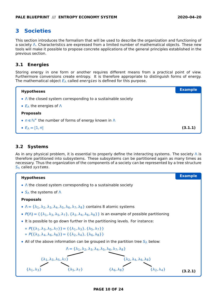# <span id="page-9-0"></span>**3 Societies**

This section introduces the formalism that will be used to describe the organization and functioning of a society Λ. Characteristics are expressed from a limited number of mathematical objects. These new tools will make it possible to propose concrete applications of the general principles established in the previous section.

#### <span id="page-9-1"></span>**3.1 Energies**

Storing energy in one form or another requires different means from a practical point of view. Furthermore conversions create entropy. It is therefore appropriate to distinguish forms of energy. The mathematical object  $E_\Lambda$  called *energies* is defined for this purpose.

| <b>Hypotheses</b>                                                           | <b>Example</b> |
|-----------------------------------------------------------------------------|----------------|
| $\bullet$ $\wedge$ the closed system corresponding to a sustainable society |                |
| • $E_{\Lambda}$ the energies of $\Lambda$                                   |                |
| <b>Proposals</b>                                                            |                |
| • $n \in \mathbb{N}^*$ the number of forms of energy known in $\Lambda$     |                |
| $\bullet$ $E_{\Lambda} = [1, n]$                                            | (3.1.1)        |

#### <span id="page-9-2"></span>**3.2 Systems**

As in any physical problem, it is essential to properly define the interacting systems. The society  $\wedge$  is therefore partitioned into subsystems. These subsystems can be partitioned again as many times as necessary. Thus the organization of the components of a society can be represented by a tree structure S<sup>Λ</sup> called systems.

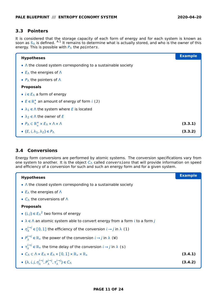#### <span id="page-10-0"></span>**3.3 Pointers**

It is considered that the storage capacity of each form of energy and for each system is known as soon as  $S_A$  is defined. <sup>[A.1](#page-22-1)</sup> It remains to determine what is actually stored, and who is the owner of this energy. This is possible with  $P_{\Lambda}$  the *pointers*.

| <b>Hypotheses</b>                                                                       | <b>Example</b> |
|-----------------------------------------------------------------------------------------|----------------|
| $\bullet$ A the closed system corresponding to a sustainable society                    |                |
| • $E_{\Lambda}$ the energies of $\Lambda$                                               |                |
| • $P_{\Lambda}$ the pointers of $\Lambda$                                               |                |
| <b>Proposals</b>                                                                        |                |
| • $i \in E_{\Lambda}$ a form of energy                                                  |                |
| • $E \in \mathbb{R}_+^*$ an amount of energy of form $i$ (J)                            |                |
| • $\lambda_1 \in \Lambda$ the system where E is located                                 |                |
| • $\lambda_2 \in \Lambda$ the owner of E                                                |                |
| • $P_{\Lambda} \subset \mathbb{R}_+^* \times E_{\Lambda} \times \Lambda \times \Lambda$ | (3.3.1)        |
| • $(E, i, \lambda_1, \lambda_2) \in P_{\Lambda}$                                        | (3.3.2)        |

#### <span id="page-10-1"></span>**3.4 Conversions**

Energy form conversions are performed by atomic systems. The conversion specifications vary from one system to another. It is the object  $C_A$  called *conversions* that will provide information on speed and efficiency of a conversion for such and such an energy form and for a given system.

| <b>Hypotheses</b>                                                                                                                      | <b>Example</b> |
|----------------------------------------------------------------------------------------------------------------------------------------|----------------|
| $\bullet$ $\wedge$ the closed system corresponding to a sustainable society                                                            |                |
| • $E_{\Lambda}$ the energies of $\Lambda$                                                                                              |                |
| • $C_{\Lambda}$ the conversions of $\Lambda$                                                                                           |                |
| <b>Proposals</b>                                                                                                                       |                |
| • $(i, j) \in E_{\Lambda}^2$ two forms of energy                                                                                       |                |
| • $\lambda \in \Lambda$ an atomic system able to convert energy from a form i to a form j                                              |                |
| • $\eta_{\lambda}^{(\rightarrow)} \in [0,1]$ the efficiency of the conversion $i \rightarrow j$ in $\lambda$ (1)                       |                |
| • $P_{\lambda}^{(\rightarrow)} \in \mathbb{R}_+$ the power of the conversion $i \rightarrow j$ in $\lambda$ (W)                        |                |
| • $\tau_1^{(-)} \in \mathbb{R}_+$ the time delay of the conversion $i \to j$ in $\lambda$ (s)                                          |                |
| $\bullet$ $C_{\Lambda} \subset \Lambda \times E_{\Lambda} \times E_{\Lambda} \times [0,1] \times \mathbb{R}_{+} \times \mathbb{R}_{+}$ | (3.4.1)        |
| • $(\lambda, i, j, \eta_{\lambda}^{i \to j}, P_{\lambda}^{i \to j}, \tau_{\lambda}^{i \to j}) \in C_{\Lambda}$                         | (3.4.2)        |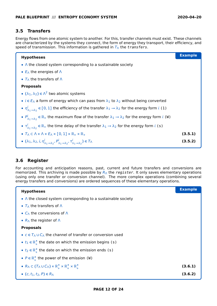#### <span id="page-11-0"></span>**3.5 Transfers**

Energy flows from one atomic system to another. For this, transfer channels must exist. These channels are characterized by the systems they connect, the form of energy they transport, their efficiency, and speed of transmission. This information is gathered in  $T_A$  the transfers.

| <b>Hypotheses</b>                                                                                                                                | <b>Example</b> |
|--------------------------------------------------------------------------------------------------------------------------------------------------|----------------|
| $\bullet$ $\wedge$ the closed system corresponding to a sustainable society                                                                      |                |
| • $E_{\Lambda}$ the energies of $\Lambda$                                                                                                        |                |
| • $T_{\Lambda}$ the transfers of $\Lambda$                                                                                                       |                |
| <b>Proposals</b>                                                                                                                                 |                |
| • $(\lambda_1, \lambda_2) \in \Lambda^2$ two atomic systems                                                                                      |                |
| • $i \in E_{\Lambda}$ a form of energy which can pass from $\lambda_1$ to $\lambda_2$ without being converted                                    |                |
| • $\eta_{\lambda_1\to\lambda_2}^l \in [0,1]$ the efficiency of the transfer $\lambda_1 \to \lambda_2$ for the energy form i (1)                  |                |
| • $P_{\lambda_1 \to \lambda_2}^l \in \mathbb{R}_+$ the maximum flow of the transfer $\lambda_1 \to \lambda_2$ for the energy form <i>i</i> (W)   |                |
| • $\tau'_{\lambda_1\to\lambda_2} \in \mathbb{R}_+$ the time delay of the transfer $\lambda_1 \to \lambda_2$ for the energy form <i>i</i> (s)     |                |
| $\bullet$ $T_{\Lambda} \subset \Lambda \times \Lambda \times E_{\Lambda} \times [0,1] \times \mathbb{R}_{+} \times \mathbb{R}_{+}$               | (3.5.1)        |
| • $(\lambda_1, \lambda_2, i, \eta^i_{\lambda_1 \to \lambda_2}, P^i_{\lambda_1 \to \lambda_2}, \tau^i_{\lambda_1 \to \lambda_2}) \in T_{\Lambda}$ | (3.5.2)        |

### <span id="page-11-1"></span>**3.6 Register**

For accounting and anticipation reasons, past, current and future transfers and conversions are memorized. This archiving is made possible by  $R_\Lambda$  the *register*. It only saves elementary operations (using only one transfer or conversion channel). The more complex operations (combining several energy transfers and conversions) are ordered sequences of these elementary operations.

| <b>Hypotheses</b>                                                                                                        | <b>Example</b> |
|--------------------------------------------------------------------------------------------------------------------------|----------------|
| $\bullet$ A the closed system corresponding to a sustainable society                                                     |                |
| • $T_{\Lambda}$ the transfers of $\Lambda$                                                                               |                |
| • $C_{\Lambda}$ the conversions of $\Lambda$                                                                             |                |
| • $R_{\Lambda}$ the register of $\Lambda$                                                                                |                |
| <b>Proposals</b>                                                                                                         |                |
| • $c \in T$ $\cup$ $C$ the channel of transfer or conversion used                                                        |                |
| • $t_1 \in \mathbb{R}^*_+$ the date on which the emission begins (s)                                                     |                |
| • $t_2 \in \mathbb{R}_+^*$ the date on which the emission ends (s)                                                       |                |
| • $P \in \mathbb{R}_+^*$ the power of the emission (W)                                                                   |                |
| • $R_{\Lambda} \subset (T_{\Lambda} \cup C_{\Lambda}) \times \mathbb{R}_+^* \times \mathbb{R}_+^* \times \mathbb{R}_+^*$ | (3.6.1)        |
| • $(c, t_1, t_2, P) \in R_\Lambda$                                                                                       | (3.6.2)        |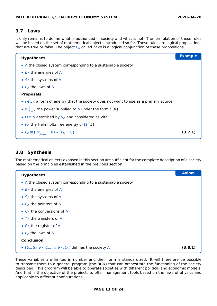#### <span id="page-12-0"></span>**3.7 Laws**

It only remains to define what is authorized in society and what is not. The formulation of these rules will be based on the set of mathematical objects introduced so far. These rules are logical propositions that are true or false. The object  $L_A$  called *laws* is a logical conjunction of these propositions.

| <b>Hypotheses</b>                                                                                             | <b>Example</b> |
|---------------------------------------------------------------------------------------------------------------|----------------|
| $\bullet$ A the closed system corresponding to a sustainable society                                          |                |
| • $E_{\Lambda}$ the energies of $\Lambda$                                                                     |                |
| • $S_{\Lambda}$ the systems of $\Lambda$                                                                      |                |
| • $L_A$ the laws of $\Lambda$                                                                                 |                |
| <b>Proposals</b>                                                                                              |                |
| • $i \in E_{\Lambda}$ a form of energy that the society does not want to use as a primary source              |                |
| • $W^l_{\overline{\Lambda} \to \Lambda}$ the power supplied to $\Lambda$ under the form $i$ (W)               |                |
| • $\Omega \subset \Lambda$ described by $S_{\Lambda}$ and considered as vital                                 |                |
| • $F_{\Omega}$ the Helmholtz free energy of $\Omega$ (J)                                                      |                |
| • $L_{\Lambda} \equiv (\dot{W}^i_{\overline{\Lambda} \rightarrow \Lambda} = 0) \wedge (\dot{F}_{\Omega} = 0)$ | (3.7.1         |

#### <span id="page-12-1"></span>**3.8 Synthesis**

The mathematical objects exposed in this section are sufficient for the complete description of a society based on the principles established in the previous section.

| <b>Hypotheses</b>                                                     | <b>Axiom</b> |
|-----------------------------------------------------------------------|--------------|
| $\bullet$ A the closed system corresponding to a sustainable society  |              |
| • $E_{\Lambda}$ the energies of $\Lambda$                             |              |
| • $S_{\Lambda}$ the systems of $\Lambda$                              |              |
| • $P_{\Lambda}$ the pointers of $\Lambda$                             |              |
| • $C_{\Lambda}$ the conversions of $\Lambda$                          |              |
| • $T_{\Lambda}$ the transfers of $\Lambda$                            |              |
| • $R_{\Lambda}$ the register of $\Lambda$                             |              |
| • $L_A$ the laws of $\Lambda$                                         |              |
| <b>Conclusion</b>                                                     |              |
| • $(E_A, S_A, P_A, C_A, T_A, R_A, L_A)$ defines the society $\Lambda$ | (3.8.1)      |

These variables are limited in number and their form is standardized. It will therefore be possible to transmit them to a general program (the Bulk) that can orchestrate the functioning of the society described. This program will be able to operate societies with different political and economic models. And that is the objective of the project: to offer management tools based on the laws of physics and applicable to different configurations.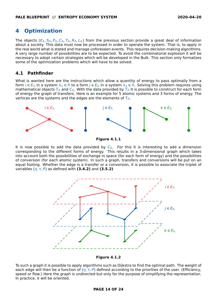## <span id="page-13-0"></span>**4 Optimization**

The objects  $(E_\Lambda, S_\Lambda, P_\Lambda, C_\Lambda, T_\Lambda, R_\Lambda, L_\Lambda)$  from the previous section provide a great deal of information about a society. This data must now be processed in order to operate the system. That is, to apply in the real world what is stated and manage unforeseen events. This requires decision-making algorithms. A very large number of possibilities are to be expected. To avoid the combinatorial explosion it will be necessary to adopt certain strategies which will be developed in the Bulk. This section only formalizes some of the optimization problems which will have to be solved.

#### <span id="page-13-1"></span>**4.1 Pathfinder**

What is wanted here are the instructions which allow a quantity of energy to pass optimally from a form **∈** E<sup>Λ</sup> in a system λ<sup>1</sup> **∈** Λ to a form j **∈** E<sup>Λ</sup> in a system λ<sup>2</sup> **∈** Λ. Solving this problem requires using mathematical objects  $T_A$  and  $C_A$ . With the data provided by  $T_A$  it is possible to construct for each form of energy the graph of transfers. Here is an example for 5 atomic systems and 3 forms of energy. The vertices are the systems and the edges are the elements of  $T_A$ .



**Figure [4.1.](#page-13-1)1**

It is now possible to add the data provided by  $C_A$ . For this it is interesting to add a dimension corresponding to the different forms of energy. This results in a 3-dimensional graph which takes into account both the possibilities of exchange in space (for each form of energy) and the possibilities of conversion (for each atomic system). In such a graph, transfers and conversions will be put on an equal footing. Whether the edge is a transfer or a conversion, it is possible to associate the triplet of variables **(**η, τ, P**)** as defined with **[\(3.4.](#page-10-1)2)** and **[\(3.5.](#page-11-0)2)**



**Figure [4.1.](#page-13-1)2**

To such a graph it is possible to apply algorithms such as Dijkstra to find the optimal path. The weight of each edge will then be a function of **(**η, τ, P**)** defined according to the priorities of the user. (Efficiency, speed or flow.) Here the graph is undirected but only for the purpose of simplifying the representation. In practice, it will be oriented.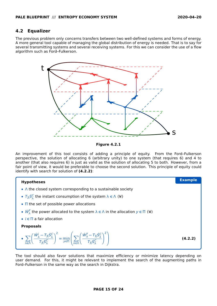#### <span id="page-14-0"></span>**4.2 Equalizer**

The previous problem only concerns transfers between two well-defined systems and forms of energy. A more general tool capable of managing the global distribution of energy is needed. That is to say for several transmitting systems and several receiving systems. For this we can consider the use of a flow algorithm such as Ford–Fulkerson.



**Figure [4.2.](#page-14-0)1**

An improvement of this tool consists of adding a principle of equity. From the Ford–Fulkerson perspective, the solution of allocating 6 (arbitrary unity) to one system (that requires 6) and 4 to another (that also requires 6) is just as valid as the solution of allocating 5 to both. However, from a fair point of view, it would be preferable to choose the second solution. This principle of equity could identify with search for solution of **[\(4.2.](#page-14-0)2)**:



The tool should also favor solutions that maximize efficiency or minimize latency depending on user demand. For this, it might be relevant to implement the search of the augmenting paths in Ford–Fulkerson in the same way as the search in Dijkstra.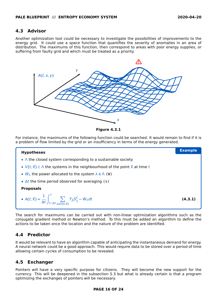#### <span id="page-15-0"></span>**4.3 Advisor**

Another optimization tool could be necessary to investigate the possibilities of improvements to the energy grid. It could use a space function that quantifies the severity of anomalies in an area of distribution. The maximums of this function, then correspond to areas with poor energy supplies, or suffering from faulty grid and which must be treated as a priority.



**Figure [4.3.](#page-15-0)1**

For instance, the maximums of the following function could be searched. It would remain to find if it is a problem of flow limited by the grid or an insufficiency in terms of the energy generated.



The search for maximums can be carried out with non-linear optimization algorithms such as the conjugate gradient method or Newton's method. To this must be added an algorithm to define the actions to be taken once the location and the nature of the problem are identified.

#### <span id="page-15-1"></span>**4.4 Predictor**

It would be relevant to have an algorithm capable of anticipating the instantaneous demand for energy. A neural network could be a good approach. This would require data to be stored over a period of time allowing certain cycles of consumption to be revealed.

### <span id="page-15-2"></span>**4.5 Exchanger**

Pointers will have a very specific purpose for citizens. They will become the new support for the currency. This will be deepened in the subsection [5.3](#page-18-0) but what is already certain is that a program optimizing the exchanges of pointers will be necessary.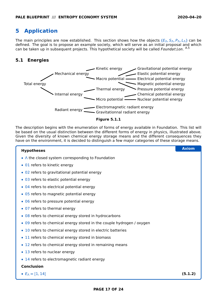# <span id="page-16-0"></span>**5 Application**

The main principles are now established. This section shows how the objects **(**EΛ, SΛ, PΛ, LΛ**)** can be defined. The goal is to propose an example society, which will serve as an initial proposal and which can be taken up in subsequent projects. This hypothetical society will be called Foundation. [A.5](#page-22-5)

### <span id="page-16-1"></span>**5.1 Energies**



The description begins with the enumeration of forms of energy available in Foundation. This list will be based on the usual distinction between the different forms of energy in physics, illustrated above. Given the diversity of known chemical energy storage means and the different consequences they have on the environment, it is decided to distinguish a few major categories of these storage means.

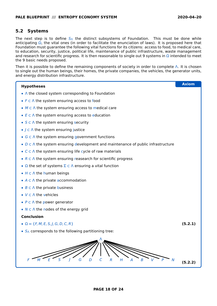#### <span id="page-17-0"></span>**5.2 Systems**

The next step is to define  $S_{\Lambda}$  the distinct subsystems of Foundation. This must be done while anticipating  $\Omega$ , the vital ones (in order to facilitate the enunciation of laws). It is proposed here that Foundation must guarantee the following vital functions for its citizens: access to food, to medical care, to education, security, justice, political life, maintenance of public infrastructure, waste management and research for scientific progress. It is then reasonable to single out 9 systems in  $\Omega$  intended to meet the 9 basic needs proposed.

Then it is possible to define the remaining components of society in order to complete Λ. It is chosen to single out the human beings, their homes, the private companies, the vehicles, the generator units, and energy distribution infrastructure.

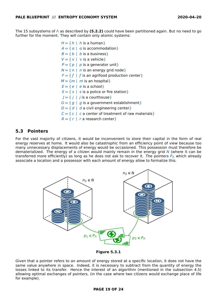The 15 subsystems of Λ as described by **[\(5.2.](#page-17-0)2)** could have been partitioned again. But no need to go further for the moment. They will contain only atomic systems:

> $H = \{ h \mid h$  is a human $\}$  $A = \{ \alpha \mid \alpha \text{ is } \text{accommodation} \}$  $B = \{ b \mid b \text{ is a business} \}$  $V = \{ v \mid v \text{ is a vehicle} \}$  $P = \{ p | p$  is a generator unit}  $N = \{ n | n$  is an energy grid node }  $F = \{ f | f$  is an agrifood production center  $M = \{m \mid m$  is an hospital  $\}$  $E = \{ e \mid e \text{ is a school} \}$  $S = \{ s \mid s \text{ is a police or fire station} \}$  $J = \{ j \mid j \text{ is a counthouse} \}$  $G = \{ g | g$  is a government establishment }  $D = \{ d | d \}$  a civil engineering center  $C = \{ c \mid c \text{ a center of treatment of raw materials} \}$  $R = \{ r \mid r \text{ a research center} \}$

#### <span id="page-18-0"></span>**5.3 Pointers**

For the vast majority of citizens, it would be inconvenient to store their capital in the form of real energy reserves at home. It would also be catastrophic from an efficiency point of view because too many unnecessary displacements of energy would be occasioned. This possession must therefore be dematerialized. The energy of a citizen would mainly remain in the energy grid N (where it can be transferred more efficiently) as long as he does not ask to recover it. The pointers  $P_{\Lambda}$  which already associate a location and a possessor with each amount of energy allow to formalize this.



**Figure [5.3.](#page-18-0)1**

Given that a pointer refers to an amount of energy stored at a specific location, it does not have the same value anywhere in space. Indeed, it is necessary to subtract from the quantity of energy the losses linked to its transfer. Hence the interest of an algorithm (mentioned in the subsection [4.5\)](#page-15-2) allowing optimal exchanges of pointers, (in the case where two citizens would exchange place of life for example).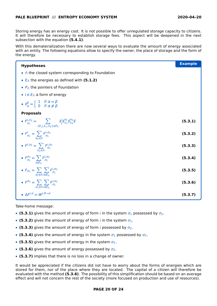Storing energy has an energy cost. It is not possible to offer unregulated storage capacity to citizens. It will therefore be necessary to establish storage fees. This aspect will be deepened in the next subsection with the equation **[\(5.4.](#page-20-0)1)**.

With this dematerialization there are now several ways to evaluate the amount of energy associated with an entity. The following equations allow to specify the owner, the place of storage and the form of the energy.

| <b>Hypotheses</b>                                                                                                                                               | <b>Example</b> |
|-----------------------------------------------------------------------------------------------------------------------------------------------------------------|----------------|
| $\bullet$ $\wedge$ the closed system corresponding to Foundation                                                                                                |                |
| • $E_{\Lambda}$ the energies as defined with (5.1.2)                                                                                                            |                |
| • $P_{\Lambda}$ the pointers of Foundation                                                                                                                      |                |
| • $i \in E_{\Lambda}$ a form of energy                                                                                                                          |                |
| • $\delta_{\alpha}^{\beta} = \begin{cases} 1 & \text{if } \alpha = \beta \\ 0 & \text{if } \alpha \neq \beta \end{cases}$                                       |                |
| <b>Proposals</b>                                                                                                                                                |                |
| • $F_{\sigma_1}^{i, \sigma_2} = \sum_{\{E, j, \lambda_1, \lambda_2\} \in P_{\Lambda}} \delta_j^i \delta_{\lambda_1}^{\sigma_1} \delta_{\lambda_2}^{\sigma_2} E$ | (5.3.1)        |
| • $F_{\sigma_1}^i = \sum_{\sigma_2 \in \Lambda} F_{\sigma_1}^{i, \sigma_2}$                                                                                     | (5.3.2)        |
| • $F^{i, \sigma_2} = \sum_{\sigma_1 \in \Lambda} F^{i, \sigma_2}_{\sigma_1}$                                                                                    | (5.3.3)        |
| • $F_{\sigma_1}^{\sigma_2} = \sum_{i \in E_1} F_{\sigma_1}^{i, \sigma_2}$                                                                                       | (5.3.4)        |
| • $F_{\sigma_1} = \sum_{\sigma_2 \in \Lambda} \sum_{i \in E_{\Lambda}} F_{\sigma_1}^{i, \sigma_2}$                                                              | (5.3.5)        |
| • $F^{\sigma_2} = \sum_{\sigma_1 \in \Lambda} \sum_{i \in F_{\Lambda}} F_{\sigma_1}^{i, \sigma_2}$                                                              | (5.3.6)        |
| • $\Delta F^{i,\sigma} = W^{i,\overline{\sigma}\rightarrow\sigma}$                                                                                              | (5.3.7)        |

Take-home message:

- **[\(5.3.](#page-18-0)1)** gives the amount of energy of form *i* in the system  $\sigma_1$  possessed by  $\sigma_2$ .
- **• [\(5.3.](#page-18-0)2)** gives the amount of energy of form *i* in the system  $\sigma_1$ .
- **[\(5.3.](#page-18-0)3)** gives the amount of energy of form *i* possessed by  $\sigma_2$ .
- **[\(5.3.](#page-18-0)4)** gives the amount of energy in the system  $\sigma_1$  possessed by  $\sigma_2$ .
- **[\(5.3.](#page-18-0)5)** gives the amount of energy in the system  $σ_1$ .
- **• [\(5.3.](#page-18-0)6)** gives the amount of energy possessed by  $\sigma_2$ .
- **• [\(5.3.](#page-18-0)7)** implies that there is no loss in a change of owner.

It would be appreciated if the citizens did not have to worry about the forms of energies which are stored for them, nor of the place where they are located. The capital of a citizen will therefore be evaluated with the method **[\(5.3.](#page-18-0)6)**. The possibility of this simplification should be based on an average effect and will not concern the rest of the society (more focused on production and use of resources).

#### **PAGE 20 OF 24**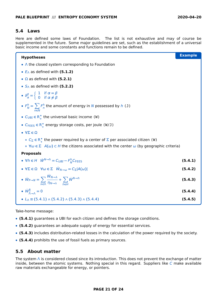#### <span id="page-20-0"></span>**5.4 Laws**

Here are defined some laws of Foundation. The list is not exhaustive and may of course be supplemented in the future. Some major guidelines are set, such as the establishment of a universal basic income and some constants and functions remain to be defined.

| <b>Hypotheses</b>                                                                                                                                                | <b>Example</b> |
|------------------------------------------------------------------------------------------------------------------------------------------------------------------|----------------|
| $\bullet$ $\wedge$ the closed system corresponding to Foundation                                                                                                 |                |
| • $E_{\Lambda}$ as defined with (5.1.2)                                                                                                                          |                |
| • $\Omega$ as defined with (5.2.1)                                                                                                                               |                |
| • $S_{\Lambda}$ as defined with (5.2.2)                                                                                                                          |                |
| • $\delta_{\alpha}^{\beta} = \begin{cases} 1 & \text{if } \alpha = \beta \\ 0 & \text{if } \alpha \neq \beta \end{cases}$                                        |                |
| • $F_N^h = \sum_{n=1}^n F_n^h$ the amount of energy in N possessed by h (J)                                                                                      |                |
| • $C_{\text{UBI}} \in \mathsf{R}_+^*$ the universal basic income (W)                                                                                             |                |
| • $C_{\text{FEES}} \in \mathbb{R}_+^*$ energy storage costs, per joule (W/J)                                                                                     |                |
| • $\forall \Sigma \in \Omega$                                                                                                                                    |                |
| $\circ$ $C_{\Sigma} \in R_{+}^{*}$ the power required by a center of $\Sigma$ per associated citizen (W)                                                         |                |
| $\circ \forall \omega \in \Sigma$ $A(\omega) \subset H$ the citizens associated with the center $\omega$ (by geographic criteria)                                |                |
| <b>Proposals</b>                                                                                                                                                 |                |
| • $\forall h \in H$ $\dot{W}^{N \rightarrow h} = C_{UBI} - F_N^h C_{FEES}$                                                                                       | (5.4.1)        |
| • $\forall \Sigma \in \Omega$ $\forall \omega \in \Sigma$ $\dot{W}_{N \rightarrow \omega} = C_{\Sigma}  A(\omega) $                                              | (5.4.2)        |
| • $\dot{W}_{P\rightarrow N} = \sum_{\lambda \neq \Lambda} \frac{W_{N\rightarrow \lambda}}{\eta_{N\rightarrow \lambda}} + \sum_{h\in H} \dot{W}^{N\rightarrow h}$ | (5.4.3)        |
| • $\dot{W}^8_{\overline{\Lambda} \rightarrow \Lambda} = 0$                                                                                                       | (5.4.4)        |
| • $L_0 \equiv (5.4.1) \wedge (5.4.2) \wedge (5.4.3) \wedge (5.4.4)$                                                                                              | (5.4.5)        |

Take-home message:

- **• [\(5.4.](#page-20-0)1)** guarantees a UBI for each citizen and defines the storage conditions.
- **• [\(5.4.](#page-20-0)2)** guarantees an adequate supply of energy for essential services.
- **• [\(5.4.](#page-20-0)3)** includes distribution-related losses in the calculation of the power required by the society.
- **• [\(5.4.](#page-20-0)4)** prohibits the use of fossil fuels as primary sources.

#### <span id="page-20-1"></span>**5.5 About matter**

The system  $∧$  is considered closed since its introduction. This does not prevent the exchange of matter inside, between the atomic systems. Nothing special in this regard. Suppliers like  $C$  make available raw materials exchangeable for energy, or pointers.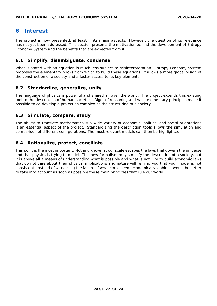# <span id="page-21-0"></span>**6 Interest**

The project is now presented, at least in its major aspects. However, the question of its relevance has not yet been addressed. This section presents the motivation behind the development of Entropy Economy System and the benefits that are expected from it.

#### <span id="page-21-1"></span>**6.1 Simplify, disambiguate, condense**

What is stated with an equation is much less subject to misinterpretation. Entropy Economy System proposes the elementary bricks from which to build these equations. It allows a more global vision of the construction of a society and a faster access to its key elements.

#### <span id="page-21-2"></span>**6.2 Standardize, generalize, unify**

The language of physics is powerful and shared all over the world. The project extends this existing tool to the description of human societies. Rigor of reasoning and valid elementary principles make it possible to co-develop a project as complex as the structuring of a society.

#### <span id="page-21-3"></span>**6.3 Simulate, compare, study**

The ability to translate mathematically a wide variety of economic, political and social orientations is an essential aspect of the project. Standardizing the description tools allows the simulation and comparison of different configurations. The most relevant models can then be highlighted.

#### <span id="page-21-4"></span>**6.4 Rationalize, protect, conciliate**

This point is the most important. Nothing known at our scale escapes the laws that govern the universe and that physics is trying to model. This new formalism may simplify the description of a society, but it is above all a means of understanding what is possible and what is not. Try to build economic laws that do not care about their physical implications and nature will remind you that your model is not consistent. Instead of witnessing the failure of what could seem economically viable, it would be better to take into account as soon as possible these main principles that rule our world.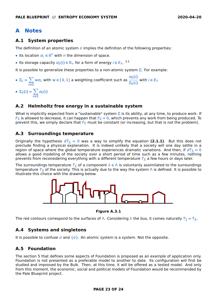# <span id="page-22-0"></span>**A Notes**

#### <span id="page-22-1"></span>**A.1 System properties**

The definition of an atomic system  $\sigma$  implies the definition of the following properties:

- Its location  $\sigma_L \in \mathbb{R}^n$  with *n* the dimension of space.
- Its storage capacity  $\sigma_E(i) \in \mathbb{R}_+$  for a form of energy  $i \in E_\wedge$ . <sup>[3.1](#page-9-1)</sup>

It is possible to generalize these properties to a non-atomic system  $\Sigma$ . For example:

- $\Sigma_L = \sum$ σ**∈**  $w\sigma$ <sub>L</sub> with  $w \in [0, 1]$  a weighting coefficient such as  $\frac{\sigma_E(i)}{\sum_i f(i)}$ E**()** with **∈** E<sup>Λ</sup>
- $\Sigma_E(i) = \sum$ σ**∈** σE**()**

#### <span id="page-22-2"></span>**A.2 Helmholtz free energy in a sustainable system**

What is implicitly expected from a "sustainable" system  $\Sigma$  is its ability, at any time, to produce work. If  $F_{\Sigma}$  is allowed to decrease, it can happen that  $F_{\Sigma} = 0$ , which prevents any work from being produced. To prevent this, we simply declare that  $F_{\Sigma}$  must be constant (or increasing, but that is not the problem).

#### <span id="page-22-3"></span>**A.3 Surroundings temperature**

Originally the hypothesis  $dT_{\overline{\Lambda}} = 0$  was a way to simplify the equation **[\(2.1.](#page-5-1)1)**. But this does not preclude finding a physical explanation. It is indeed unlikely that a society will one day settle in a region of space where the global temperature experiences dramatic variations. And then, if  $d\tau_{\overline{n}} = 0$ allows a good modeling of the society over a short period of time such as a few minutes, nothing prevents from reconsidering everything with a different temperature  $\overline{\tau_{\overline{\Lambda}}}$  a few hours or days later.

The surroundings temperature  $\overline{I_{\overline{\lambda}}}$  of a component  $\lambda \in \Lambda$  is voluntarily assimilated to the surroundings temperature  $\tau_{\overline{\Lambda}}$  of the society. This is actually due to the way the system  $\Lambda$  is defined. It is possible to illustrate this choice with the drawing below.



**Figure [A.3.](#page-22-3)1**

The red contours correspond to the surfaces of  $\wedge$ . Considering  $\lambda$  the bus, it comes naturally  $\mathcal{T}_{\overline\lambda}=\mathcal{T}_{\overline\Lambda}.$ 

#### <span id="page-22-4"></span>**A.4 Systems and singletons**

It is possible to confuse  $\sigma$  and  $\{\sigma\}$ . An atomic system is a system. Not the opposite.

### <span id="page-22-5"></span>**A.5 Foundation**

The section [5](#page-16-0) that defines some aspects of Foundation is proposed as an example of application only. Foundation is not presented as a preferable model to another to date. Its configuration will first be studied and improved by the Bulk. Then, at this time, it will be offered as a tested model. And only from this moment, the economic, social and political models of Foundation would be recommended by the Pale Blueprint project.